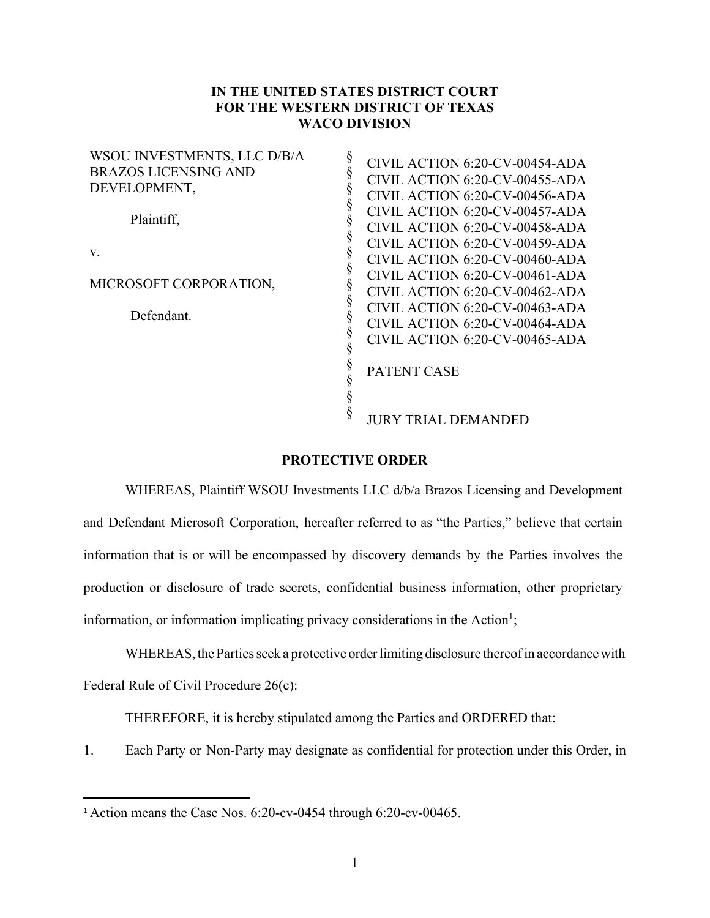## **IN THE UNITED STATES DISTRICT COURT FOR THE WESTERN DISTRICT OF TEXAS WACO DIVISION**

| WSOU INVESTMENTS, LLC D/B/A |                                |
|-----------------------------|--------------------------------|
| <b>BRAZOS LICENSING AND</b> | CIVIL ACTION 6:20-CV-00454-ADA |
|                             | CIVIL ACTION 6:20-CV-00455-ADA |
| DEVELOPMENT,                | CIVIL ACTION 6:20-CV-00456-ADA |
| Plaintiff,                  | CIVIL ACTION 6:20-CV-00457-ADA |
|                             | CIVIL ACTION 6:20-CV-00458-ADA |
|                             | CIVIL ACTION 6:20-CV-00459-ADA |
| V.                          | CIVIL ACTION 6:20-CV-00460-ADA |
|                             | CIVIL ACTION 6:20-CV-00461-ADA |
| MICROSOFT CORPORATION,      | CIVIL ACTION 6:20-CV-00462-ADA |
|                             | CIVIL ACTION 6:20-CV-00463-ADA |
| Defendant.                  | CIVIL ACTION 6:20-CV-00464-ADA |
|                             | CIVIL ACTION 6:20-CV-00465-ADA |
|                             | <b>PATENT CASE</b>             |
|                             |                                |
|                             | <b>JURY TRIAL DEMANDED</b>     |

## **PROTECTIVE ORDER**

WHEREAS, Plaintiff WSOU Investments LLC d/b/a Brazos Licensing and Development and Defendant Microsoft Corporation, hereafter referred to as "the Parties," believe that certain information that is or will be encompassed by discovery demands by the Parties involves the production or disclosure of trade secrets, confidential business information, other proprietary information, or information implicating privacy considerations in the Action<sup>1</sup>;

WHEREAS, the Parties seek a protective order limiting disclosure thereof in accordance with Federal Rule of Civil Procedure 26(c):

THEREFORE, it is hereby stipulated among the Parties and ORDERED that:

1. Each Party or Non-Party may designate as confidential for protection under this Order, in

<sup>1</sup> Action means the Case Nos. 6:20-cv-0454 through 6:20-cv-00465.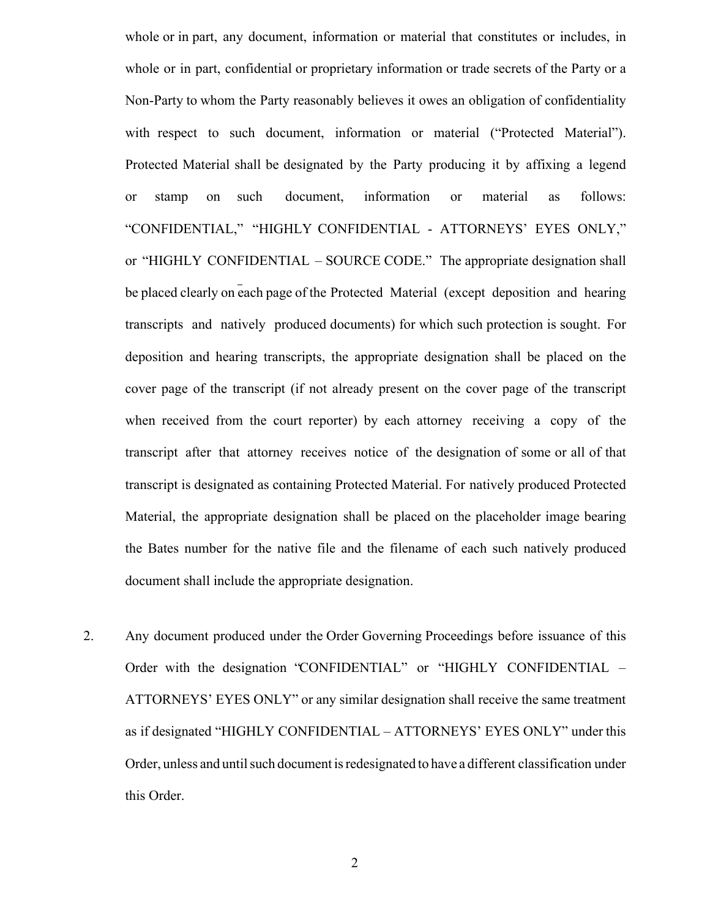whole or in part, any document, information or material that constitutes or includes, in whole or in part, confidential or proprietary information or trade secrets of the Party or a Non-Party to whom the Party reasonably believes it owes an obligation of confidentiality with respect to such document, information or material ("Protected Material"). Protected Material shall be designated by the Party producing it by affixing a legend or stamp on such document, information or material as follows: "CONFIDENTIAL," "HIGHLY CONFIDENTIAL - ATTORNEYS' EYES ONLY," or "HIGHLY CONFIDENTIAL – SOURCE CODE." The appropriate designation shall be placed clearly on each page of the Protected Material (except deposition and hearing transcripts and natively produced documents) for which such protection is sought. For deposition and hearing transcripts, the appropriate designation shall be placed on the cover page of the transcript (if not already present on the cover page of the transcript when received from the court reporter) by each attorney receiving a copy of the transcript after that attorney receives notice of the designation of some or all of that transcript is designated as containing Protected Material. For natively produced Protected Material, the appropriate designation shall be placed on the placeholder image bearing the Bates number for the native file and the filename of each such natively produced document shall include the appropriate designation.

2. Any document produced under the Order Governing Proceedings before issuance of this Order with the designation "CONFIDENTIAL" or "HIGHLY CONFIDENTIAL – ATTORNEYS' EYES ONLY" or any similar designation shall receive the same treatment as if designated "HIGHLY CONFIDENTIAL – ATTORNEYS' EYES ONLY" under this Order, unless and until such document is redesignated to have a different classification under this Order.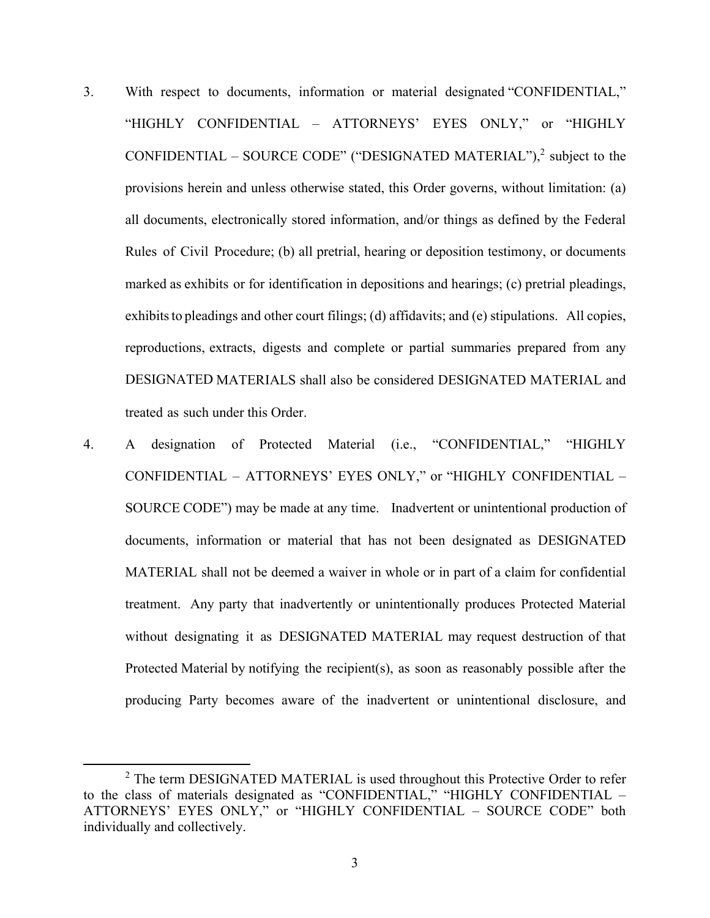- 3. With respect to documents, information or material designated "CONFIDENTIAL," "HIGHLY CONFIDENTIAL – ATTORNEYS' EYES ONLY," or "HIGHLY CONFIDENTIAL – SOURCE CODE" ("DESIGNATED MATERIAL"), $2$  subject to the provisions herein and unless otherwise stated, this Order governs, without limitation: (a) all documents, electronically stored information, and/or things as defined by the Federal Rules of Civil Procedure; (b) all pretrial, hearing or deposition testimony, or documents marked as exhibits or for identification in depositions and hearings; (c) pretrial pleadings, exhibits to pleadings and other court filings; (d) affidavits; and (e) stipulations. All copies, reproductions, extracts, digests and complete or partial summaries prepared from any DESIGNATED MATERIALS shall also be considered DESIGNATED MATERIAL and treated as such under this Order.
- 4. A designation of Protected Material (i.e., "CONFIDENTIAL," "HIGHLY CONFIDENTIAL – ATTORNEYS' EYES ONLY," or "HIGHLY CONFIDENTIAL – SOURCE CODE") may be made at any time. Inadvertent or unintentional production of documents, information or material that has not been designated as DESIGNATED MATERIAL shall not be deemed a waiver in whole or in part of a claim for confidential treatment. Any party that inadvertently or unintentionally produces Protected Material without designating it as DESIGNATED MATERIAL may request destruction of that Protected Material by notifying the recipient(s), as soon as reasonably possible after the producing Party becomes aware of the inadvertent or unintentional disclosure, and

 $2$  The term DESIGNATED MATERIAL is used throughout this Protective Order to refer to the class of materials designated as "CONFIDENTIAL," "HIGHLY CONFIDENTIAL – ATTORNEYS' EYES ONLY," or "HIGHLY CONFIDENTIAL – SOURCE CODE" both individually and collectively.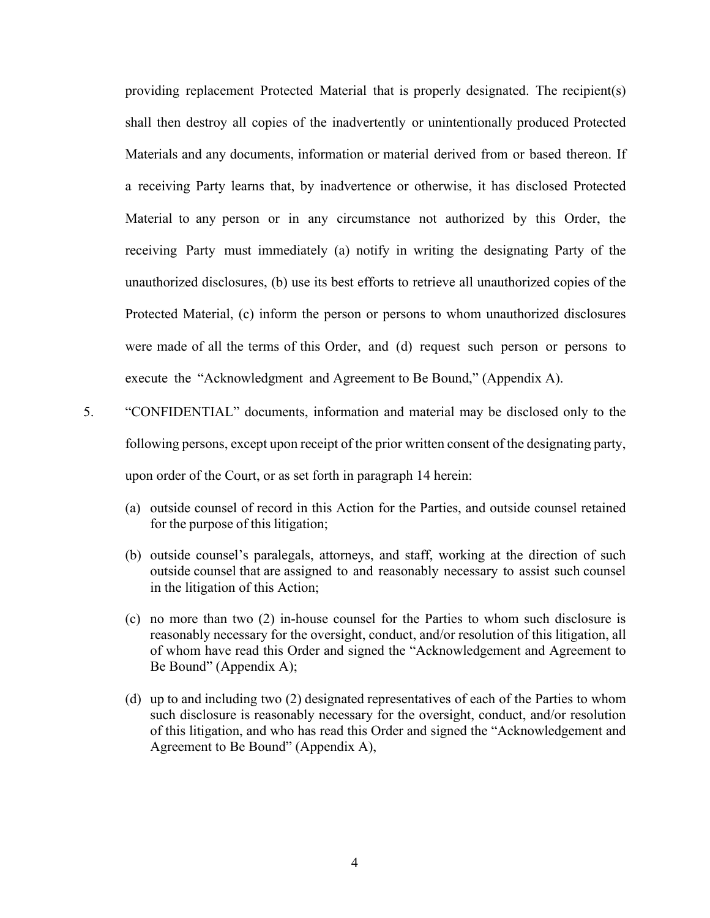providing replacement Protected Material that is properly designated. The recipient(s) shall then destroy all copies of the inadvertently or unintentionally produced Protected Materials and any documents, information or material derived from or based thereon. If a receiving Party learns that, by inadvertence or otherwise, it has disclosed Protected Material to any person or in any circumstance not authorized by this Order, the receiving Party must immediately (a) notify in writing the designating Party of the unauthorized disclosures, (b) use its best efforts to retrieve all unauthorized copies of the Protected Material, (c) inform the person or persons to whom unauthorized disclosures were made of all the terms of this Order, and (d) request such person or persons to execute the "Acknowledgment and Agreement to Be Bound," (Appendix A).

- 5. "CONFIDENTIAL" documents, information and material may be disclosed only to the following persons, except upon receipt of the prior written consent of the designating party, upon order of the Court, or as set forth in paragraph 14 herein:
	- (a) outside counsel of record in this Action for the Parties, and outside counsel retained for the purpose of this litigation;
	- (b) outside counsel's paralegals, attorneys, and staff, working at the direction of such outside counsel that are assigned to and reasonably necessary to assist such counsel in the litigation of this Action;
	- (c) no more than two (2) in-house counsel for the Parties to whom such disclosure is reasonably necessary for the oversight, conduct, and/or resolution of this litigation, all of whom have read this Order and signed the "Acknowledgement and Agreement to Be Bound" (Appendix A);
	- (d) up to and including two (2) designated representatives of each of the Parties to whom such disclosure is reasonably necessary for the oversight, conduct, and/or resolution of this litigation, and who has read this Order and signed the "Acknowledgement and Agreement to Be Bound" (Appendix A),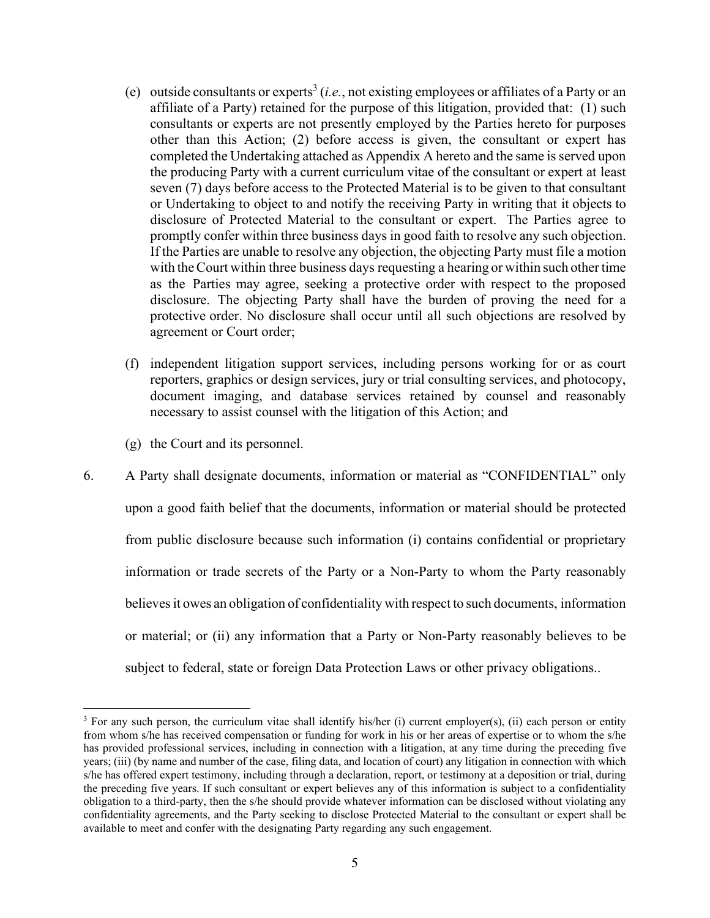- (e) outside consultants or experts<sup>3</sup> (*i.e.*, not existing employees or affiliates of a Party or an affiliate of a Party) retained for the purpose of this litigation, provided that: (1) such consultants or experts are not presently employed by the Parties hereto for purposes other than this Action; (2) before access is given, the consultant or expert has completed the Undertaking attached as Appendix A hereto and the same is served upon the producing Party with a current curriculum vitae of the consultant or expert at least seven (7) days before access to the Protected Material is to be given to that consultant or Undertaking to object to and notify the receiving Party in writing that it objects to disclosure of Protected Material to the consultant or expert. The Parties agree to promptly confer within three business days in good faith to resolve any such objection. If the Parties are unable to resolve any objection, the objecting Party must file a motion with the Court within three business days requesting a hearing or within such other time as the Parties may agree, seeking a protective order with respect to the proposed disclosure. The objecting Party shall have the burden of proving the need for a protective order. No disclosure shall occur until all such objections are resolved by agreement or Court order;
- (f) independent litigation support services, including persons working for or as court reporters, graphics or design services, jury or trial consulting services, and photocopy, document imaging, and database services retained by counsel and reasonably necessary to assist counsel with the litigation of this Action; and
- (g) the Court and its personnel.
- 6. A Party shall designate documents, information or material as "CONFIDENTIAL" only upon a good faith belief that the documents, information or material should be protected from public disclosure because such information (i) contains confidential or proprietary information or trade secrets of the Party or a Non-Party to whom the Party reasonably believes it owes an obligation of confidentiality with respect to such documents, information or material; or (ii) any information that a Party or Non-Party reasonably believes to be subject to federal, state or foreign Data Protection Laws or other privacy obligations..

 $3$  For any such person, the curriculum vitae shall identify his/her (i) current employer(s), (ii) each person or entity from whom s/he has received compensation or funding for work in his or her areas of expertise or to whom the s/he has provided professional services, including in connection with a litigation, at any time during the preceding five years; (iii) (by name and number of the case, filing data, and location of court) any litigation in connection with which s/he has offered expert testimony, including through a declaration, report, or testimony at a deposition or trial, during the preceding five years. If such consultant or expert believes any of this information is subject to a confidentiality obligation to a third-party, then the s/he should provide whatever information can be disclosed without violating any confidentiality agreements, and the Party seeking to disclose Protected Material to the consultant or expert shall be available to meet and confer with the designating Party regarding any such engagement.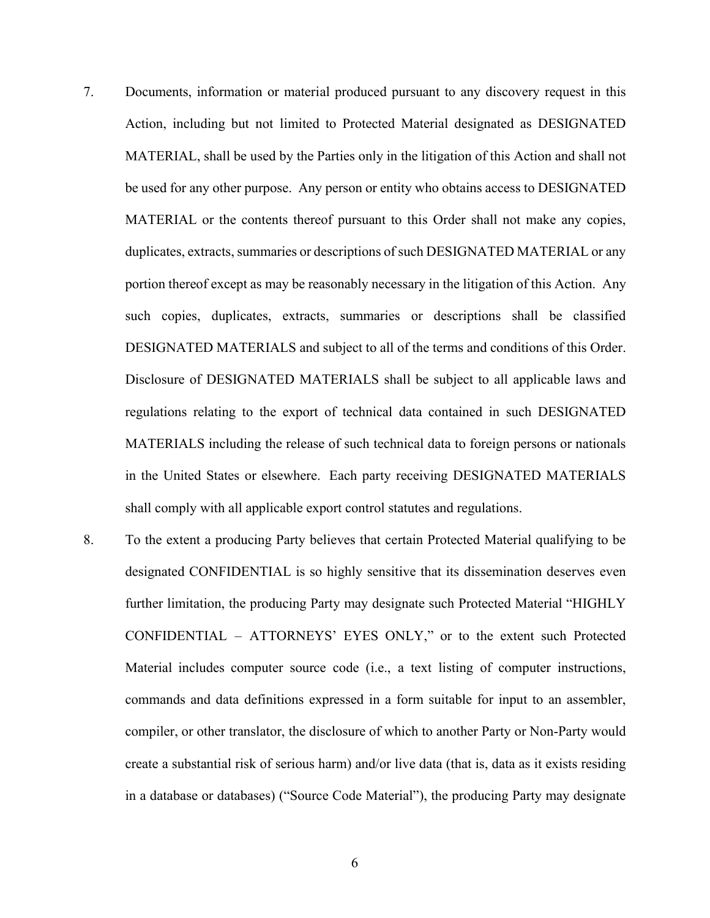- 7. Documents, information or material produced pursuant to any discovery request in this Action, including but not limited to Protected Material designated as DESIGNATED MATERIAL, shall be used by the Parties only in the litigation of this Action and shall not be used for any other purpose. Any person or entity who obtains access to DESIGNATED MATERIAL or the contents thereof pursuant to this Order shall not make any copies, duplicates, extracts, summaries or descriptions of such DESIGNATED MATERIAL or any portion thereof except as may be reasonably necessary in the litigation of this Action. Any such copies, duplicates, extracts, summaries or descriptions shall be classified DESIGNATED MATERIALS and subject to all of the terms and conditions of this Order. Disclosure of DESIGNATED MATERIALS shall be subject to all applicable laws and regulations relating to the export of technical data contained in such DESIGNATED MATERIALS including the release of such technical data to foreign persons or nationals in the United States or elsewhere. Each party receiving DESIGNATED MATERIALS shall comply with all applicable export control statutes and regulations.
- 8. To the extent a producing Party believes that certain Protected Material qualifying to be designated CONFIDENTIAL is so highly sensitive that its dissemination deserves even further limitation, the producing Party may designate such Protected Material "HIGHLY CONFIDENTIAL – ATTORNEYS' EYES ONLY," or to the extent such Protected Material includes computer source code (i.e., a text listing of computer instructions, commands and data definitions expressed in a form suitable for input to an assembler, compiler, or other translator, the disclosure of which to another Party or Non-Party would create a substantial risk of serious harm) and/or live data (that is, data as it exists residing in a database or databases) ("Source Code Material"), the producing Party may designate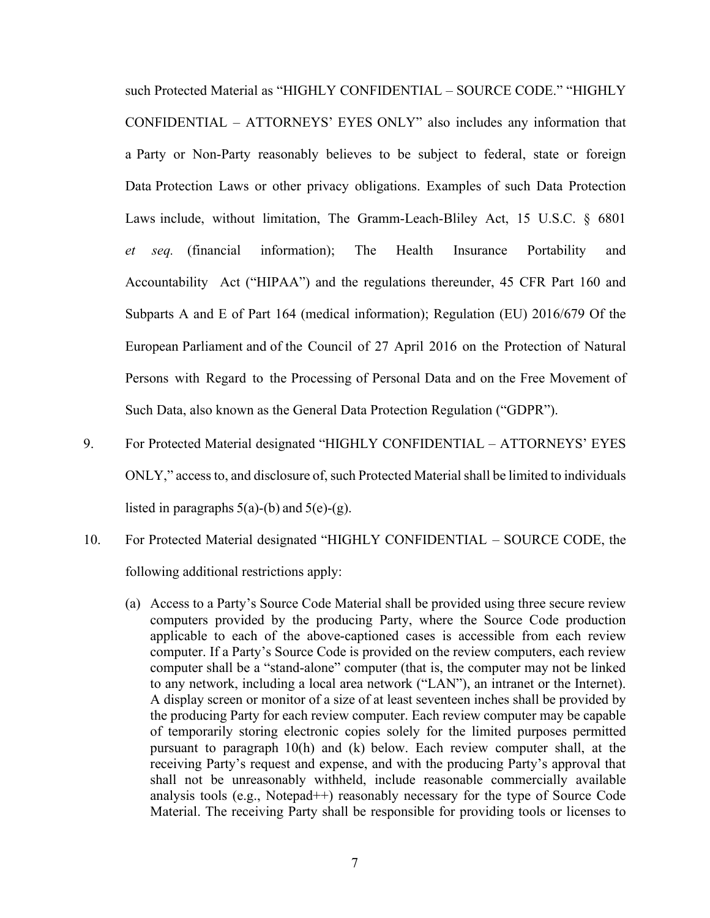such Protected Material as "HIGHLY CONFIDENTIAL – SOURCE CODE." "HIGHLY CONFIDENTIAL – ATTORNEYS' EYES ONLY" also includes any information that a Party or Non-Party reasonably believes to be subject to federal, state or foreign Data Protection Laws or other privacy obligations. Examples of such Data Protection Laws include, without limitation, The Gramm-Leach-Bliley Act, 15 U.S.C. § 6801 *et seq.* (financial information); The Health Insurance Portability and Accountability Act ("HIPAA") and the regulations thereunder, 45 CFR Part 160 and Subparts A and E of Part 164 (medical information); Regulation (EU) 2016/679 Of the European Parliament and of the Council of 27 April 2016 on the Protection of Natural Persons with Regard to the Processing of Personal Data and on the Free Movement of Such Data, also known as the General Data Protection Regulation ("GDPR").

- 9. For Protected Material designated "HIGHLY CONFIDENTIAL ATTORNEYS' EYES ONLY," access to, and disclosure of, such Protected Material shall be limited to individuals listed in paragraphs  $5(a)-(b)$  and  $5(e)-(g)$ .
- 10. For Protected Material designated "HIGHLY CONFIDENTIAL SOURCE CODE, the following additional restrictions apply:
	- (a) Access to a Party's Source Code Material shall be provided using three secure review computers provided by the producing Party, where the Source Code production applicable to each of the above-captioned cases is accessible from each review computer. If a Party's Source Code is provided on the review computers, each review computer shall be a "stand-alone" computer (that is, the computer may not be linked to any network, including a local area network ("LAN"), an intranet or the Internet). A display screen or monitor of a size of at least seventeen inches shall be provided by the producing Party for each review computer. Each review computer may be capable of temporarily storing electronic copies solely for the limited purposes permitted pursuant to paragraph 10(h) and (k) below. Each review computer shall, at the receiving Party's request and expense, and with the producing Party's approval that shall not be unreasonably withheld, include reasonable commercially available analysis tools (e.g., Notepad++) reasonably necessary for the type of Source Code Material. The receiving Party shall be responsible for providing tools or licenses to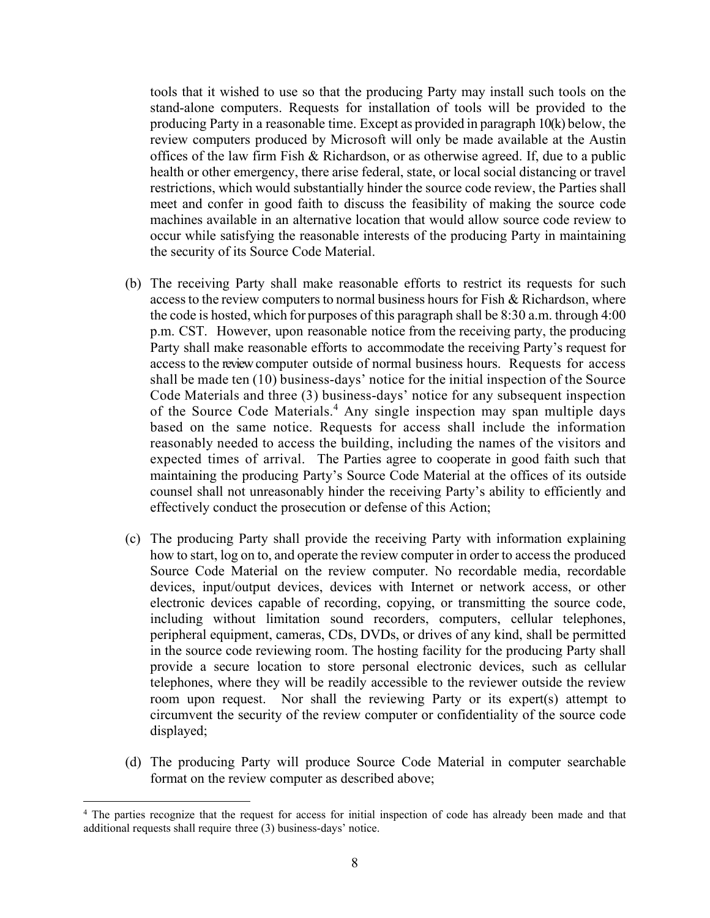tools that it wished to use so that the producing Party may install such tools on the stand-alone computers. Requests for installation of tools will be provided to the producing Party in a reasonable time. Except as provided in paragraph 10(k) below, the review computers produced by Microsoft will only be made available at the Austin offices of the law firm Fish & Richardson, or as otherwise agreed. If, due to a public health or other emergency, there arise federal, state, or local social distancing or travel restrictions, which would substantially hinder the source code review, the Parties shall meet and confer in good faith to discuss the feasibility of making the source code machines available in an alternative location that would allow source code review to occur while satisfying the reasonable interests of the producing Party in maintaining the security of its Source Code Material.

- (b) The receiving Party shall make reasonable efforts to restrict its requests for such access to the review computers to normal business hours for Fish & Richardson, where the code is hosted, which for purposes of this paragraph shall be 8:30 a.m. through 4:00 p.m. CST. However, upon reasonable notice from the receiving party, the producing Party shall make reasonable efforts to accommodate the receiving Party's request for access to the review computer outside of normal business hours. Requests for access shall be made ten (10) business-days' notice for the initial inspection of the Source Code Materials and three (3) business-days' notice for any subsequent inspection of the Source Code Materials.<sup>4</sup> Any single inspection may span multiple days based on the same notice. Requests for access shall include the information reasonably needed to access the building, including the names of the visitors and expected times of arrival. The Parties agree to cooperate in good faith such that maintaining the producing Party's Source Code Material at the offices of its outside counsel shall not unreasonably hinder the receiving Party's ability to efficiently and effectively conduct the prosecution or defense of this Action;
- (c) The producing Party shall provide the receiving Party with information explaining how to start, log on to, and operate the review computer in order to access the produced Source Code Material on the review computer. No recordable media, recordable devices, input/output devices, devices with Internet or network access, or other electronic devices capable of recording, copying, or transmitting the source code, including without limitation sound recorders, computers, cellular telephones, peripheral equipment, cameras, CDs, DVDs, or drives of any kind, shall be permitted in the source code reviewing room. The hosting facility for the producing Party shall provide a secure location to store personal electronic devices, such as cellular telephones, where they will be readily accessible to the reviewer outside the review room upon request. Nor shall the reviewing Party or its expert(s) attempt to circumvent the security of the review computer or confidentiality of the source code displayed;
- (d) The producing Party will produce Source Code Material in computer searchable format on the review computer as described above;

<sup>&</sup>lt;sup>4</sup> The parties recognize that the request for access for initial inspection of code has already been made and that additional requests shall require three (3) business-days' notice.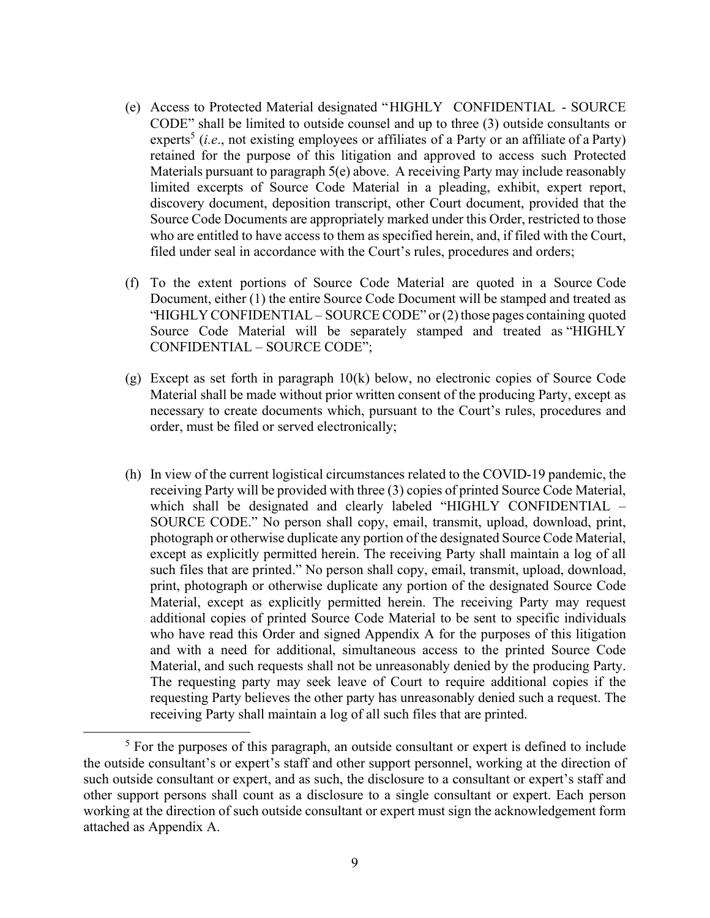- (e) Access to Protected Material designated "HIGHLY CONFIDENTIAL SOURCE CODE" shall be limited to outside counsel and up to three (3) outside consultants or experts<sup>5</sup> (*i.e.*, not existing employees or affiliates of a Party or an affiliate of a Party) retained for the purpose of this litigation and approved to access such Protected Materials pursuant to paragraph 5(e) above. A receiving Party may include reasonably limited excerpts of Source Code Material in a pleading, exhibit, expert report, discovery document, deposition transcript, other Court document, provided that the Source Code Documents are appropriately marked under this Order, restricted to those who are entitled to have access to them as specified herein, and, if filed with the Court, filed under seal in accordance with the Court's rules, procedures and orders;
- (f) To the extent portions of Source Code Material are quoted in a Source Code Document, either (1) the entire Source Code Document will be stamped and treated as "HIGHLY CONFIDENTIAL – SOURCE CODE" or (2) those pages containing quoted Source Code Material will be separately stamped and treated as "HIGHLY CONFIDENTIAL – SOURCE CODE";
- (g) Except as set forth in paragraph 10(k) below, no electronic copies of Source Code Material shall be made without prior written consent of the producing Party, except as necessary to create documents which, pursuant to the Court's rules, procedures and order, must be filed or served electronically;
- (h) In view of the current logistical circumstances related to the COVID-19 pandemic, the receiving Party will be provided with three (3) copies of printed Source Code Material, which shall be designated and clearly labeled "HIGHLY CONFIDENTIAL – SOURCE CODE." No person shall copy, email, transmit, upload, download, print, photograph or otherwise duplicate any portion of the designated Source Code Material, except as explicitly permitted herein. The receiving Party shall maintain a log of all such files that are printed." No person shall copy, email, transmit, upload, download, print, photograph or otherwise duplicate any portion of the designated Source Code Material, except as explicitly permitted herein. The receiving Party may request additional copies of printed Source Code Material to be sent to specific individuals who have read this Order and signed Appendix A for the purposes of this litigation and with a need for additional, simultaneous access to the printed Source Code Material, and such requests shall not be unreasonably denied by the producing Party. The requesting party may seek leave of Court to require additional copies if the requesting Party believes the other party has unreasonably denied such a request. The receiving Party shall maintain a log of all such files that are printed.

<sup>&</sup>lt;sup>5</sup> For the purposes of this paragraph, an outside consultant or expert is defined to include the outside consultant's or expert's staff and other support personnel, working at the direction of such outside consultant or expert, and as such, the disclosure to a consultant or expert's staff and other support persons shall count as a disclosure to a single consultant or expert. Each person working at the direction of such outside consultant or expert must sign the acknowledgement form attached as Appendix A.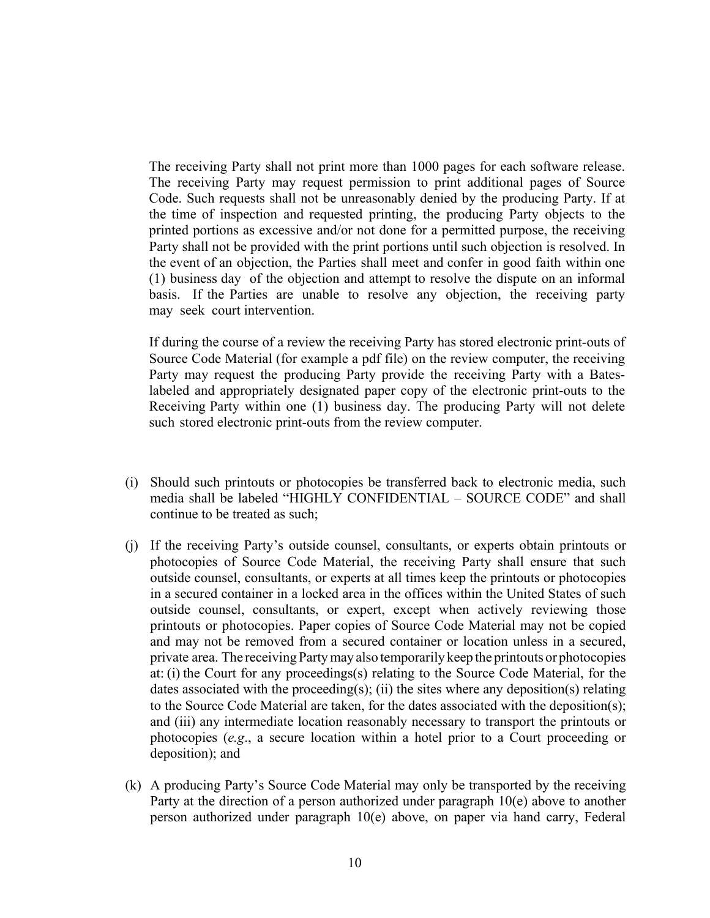The receiving Party shall not print more than 1000 pages for each software release. The receiving Party may request permission to print additional pages of Source Code. Such requests shall not be unreasonably denied by the producing Party. If at the time of inspection and requested printing, the producing Party objects to the printed portions as excessive and/or not done for a permitted purpose, the receiving Party shall not be provided with the print portions until such objection is resolved. In the event of an objection, the Parties shall meet and confer in good faith within one (1) business day of the objection and attempt to resolve the dispute on an informal basis. If the Parties are unable to resolve any objection, the receiving party may seek court intervention.

If during the course of a review the receiving Party has stored electronic print-outs of Source Code Material (for example a pdf file) on the review computer, the receiving Party may request the producing Party provide the receiving Party with a Bateslabeled and appropriately designated paper copy of the electronic print-outs to the Receiving Party within one (1) business day. The producing Party will not delete such stored electronic print-outs from the review computer.

- (i) Should such printouts or photocopies be transferred back to electronic media, such media shall be labeled "HIGHLY CONFIDENTIAL – SOURCE CODE" and shall continue to be treated as such;
- (j) If the receiving Party's outside counsel, consultants, or experts obtain printouts or photocopies of Source Code Material, the receiving Party shall ensure that such outside counsel, consultants, or experts at all times keep the printouts or photocopies in a secured container in a locked area in the offices within the United States of such outside counsel, consultants, or expert, except when actively reviewing those printouts or photocopies. Paper copies of Source Code Material may not be copied and may not be removed from a secured container or location unless in a secured, private area. The receiving Party may also temporarily keep the printouts or photocopies at: (i) the Court for any proceedings(s) relating to the Source Code Material, for the dates associated with the proceeding(s); (ii) the sites where any deposition(s) relating to the Source Code Material are taken, for the dates associated with the deposition(s); and (iii) any intermediate location reasonably necessary to transport the printouts or photocopies (*e.g*., a secure location within a hotel prior to a Court proceeding or deposition); and
- (k) A producing Party's Source Code Material may only be transported by the receiving Party at the direction of a person authorized under paragraph 10(e) above to another person authorized under paragraph 10(e) above, on paper via hand carry, Federal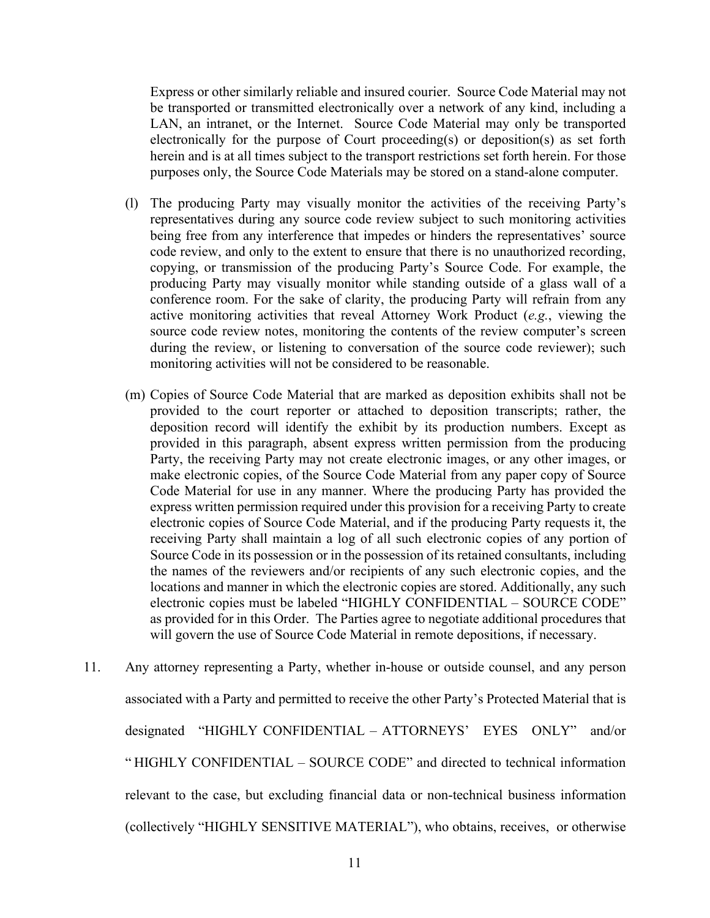Express or other similarly reliable and insured courier. Source Code Material may not be transported or transmitted electronically over a network of any kind, including a LAN, an intranet, or the Internet. Source Code Material may only be transported electronically for the purpose of Court proceeding(s) or deposition(s) as set forth herein and is at all times subject to the transport restrictions set forth herein. For those purposes only, the Source Code Materials may be stored on a stand-alone computer.

- (l) The producing Party may visually monitor the activities of the receiving Party's representatives during any source code review subject to such monitoring activities being free from any interference that impedes or hinders the representatives' source code review, and only to the extent to ensure that there is no unauthorized recording, copying, or transmission of the producing Party's Source Code. For example, the producing Party may visually monitor while standing outside of a glass wall of a conference room. For the sake of clarity, the producing Party will refrain from any active monitoring activities that reveal Attorney Work Product (*e.g.*, viewing the source code review notes, monitoring the contents of the review computer's screen during the review, or listening to conversation of the source code reviewer); such monitoring activities will not be considered to be reasonable.
- (m) Copies of Source Code Material that are marked as deposition exhibits shall not be provided to the court reporter or attached to deposition transcripts; rather, the deposition record will identify the exhibit by its production numbers. Except as provided in this paragraph, absent express written permission from the producing Party, the receiving Party may not create electronic images, or any other images, or make electronic copies, of the Source Code Material from any paper copy of Source Code Material for use in any manner. Where the producing Party has provided the express written permission required under this provision for a receiving Party to create electronic copies of Source Code Material, and if the producing Party requests it, the receiving Party shall maintain a log of all such electronic copies of any portion of Source Code in its possession or in the possession of its retained consultants, including the names of the reviewers and/or recipients of any such electronic copies, and the locations and manner in which the electronic copies are stored. Additionally, any such electronic copies must be labeled "HIGHLY CONFIDENTIAL – SOURCE CODE" as provided for in this Order. The Parties agree to negotiate additional procedures that will govern the use of Source Code Material in remote depositions, if necessary.
- 11. Any attorney representing a Party, whether in-house or outside counsel, and any person associated with a Party and permitted to receive the other Party's Protected Material that is designated "HIGHLY CONFIDENTIAL – ATTORNEYS' EYES ONLY" and/or " HIGHLY CONFIDENTIAL – SOURCE CODE" and directed to technical information relevant to the case, but excluding financial data or non-technical business information (collectively "HIGHLY SENSITIVE MATERIAL"), who obtains, receives, or otherwise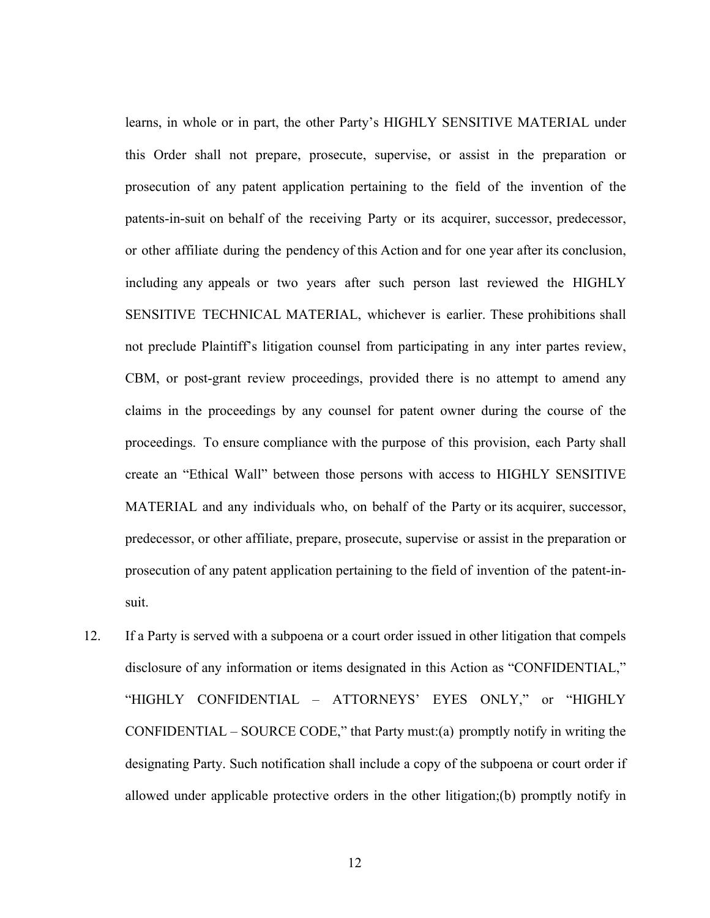learns, in whole or in part, the other Party's HIGHLY SENSITIVE MATERIAL under this Order shall not prepare, prosecute, supervise, or assist in the preparation or prosecution of any patent application pertaining to the field of the invention of the patents-in-suit on behalf of the receiving Party or its acquirer, successor, predecessor, or other affiliate during the pendency of this Action and for one year after its conclusion, including any appeals or two years after such person last reviewed the HIGHLY SENSITIVE TECHNICAL MATERIAL, whichever is earlier. These prohibitions shall not preclude Plaintiff's litigation counsel from participating in any inter partes review, CBM, or post-grant review proceedings, provided there is no attempt to amend any claims in the proceedings by any counsel for patent owner during the course of the proceedings. To ensure compliance with the purpose of this provision, each Party shall create an "Ethical Wall" between those persons with access to HIGHLY SENSITIVE MATERIAL and any individuals who, on behalf of the Party or its acquirer, successor, predecessor, or other affiliate, prepare, prosecute, supervise or assist in the preparation or prosecution of any patent application pertaining to the field of invention of the patent-insuit.

12. If a Party is served with a subpoena or a court order issued in other litigation that compels disclosure of any information or items designated in this Action as "CONFIDENTIAL," "HIGHLY CONFIDENTIAL – ATTORNEYS' EYES ONLY," or "HIGHLY CONFIDENTIAL – SOURCE CODE," that Party must:(a) promptly notify in writing the designating Party. Such notification shall include a copy of the subpoena or court order if allowed under applicable protective orders in the other litigation;(b) promptly notify in

12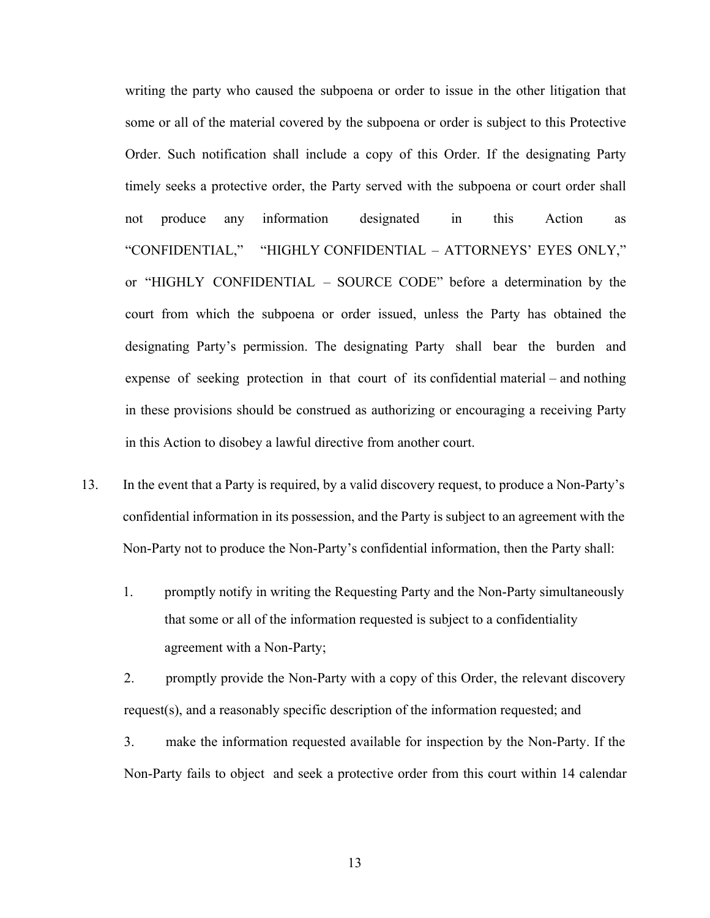writing the party who caused the subpoena or order to issue in the other litigation that some or all of the material covered by the subpoena or order is subject to this Protective Order. Such notification shall include a copy of this Order. If the designating Party timely seeks a protective order, the Party served with the subpoena or court order shall not produce any information designated in this Action as "CONFIDENTIAL," "HIGHLY CONFIDENTIAL – ATTORNEYS' EYES ONLY," or "HIGHLY CONFIDENTIAL – SOURCE CODE" before a determination by the court from which the subpoena or order issued, unless the Party has obtained the designating Party's permission. The designating Party shall bear the burden and expense of seeking protection in that court of its confidential material – and nothing in these provisions should be construed as authorizing or encouraging a receiving Party in this Action to disobey a lawful directive from another court.

- 13. In the event that a Party is required, by a valid discovery request, to produce a Non-Party's confidential information in its possession, and the Party is subject to an agreement with the Non-Party not to produce the Non-Party's confidential information, then the Party shall:
	- 1. promptly notify in writing the Requesting Party and the Non-Party simultaneously that some or all of the information requested is subject to a confidentiality agreement with a Non-Party;

2. promptly provide the Non-Party with a copy of this Order, the relevant discovery request(s), and a reasonably specific description of the information requested; and

3. make the information requested available for inspection by the Non-Party. If the Non-Party fails to object and seek a protective order from this court within 14 calendar

13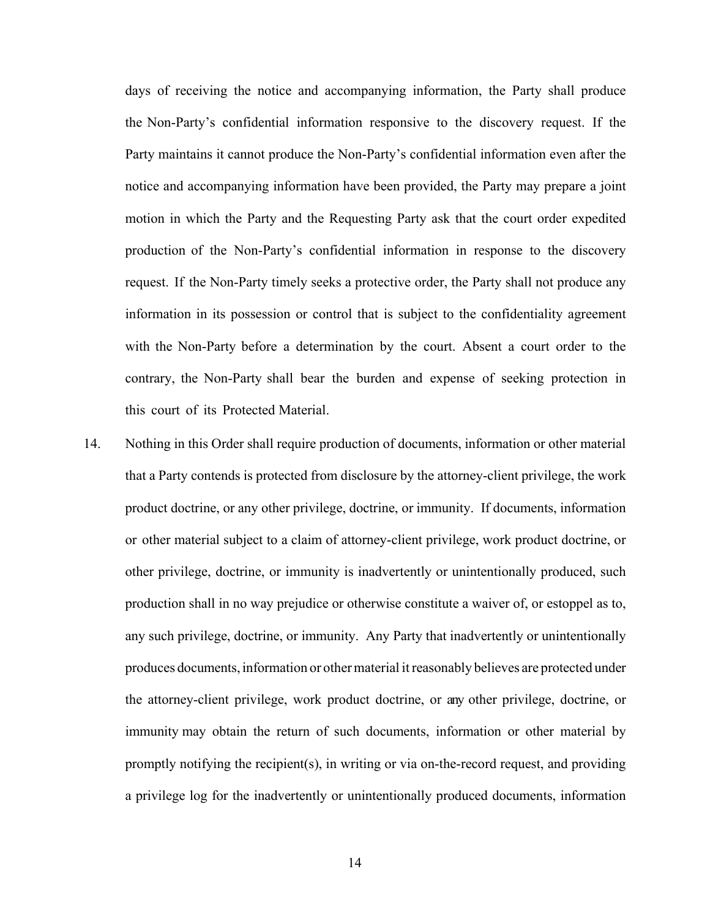days of receiving the notice and accompanying information, the Party shall produce the Non-Party's confidential information responsive to the discovery request. If the Party maintains it cannot produce the Non-Party's confidential information even after the notice and accompanying information have been provided, the Party may prepare a joint motion in which the Party and the Requesting Party ask that the court order expedited production of the Non-Party's confidential information in response to the discovery request. If the Non-Party timely seeks a protective order, the Party shall not produce any information in its possession or control that is subject to the confidentiality agreement with the Non-Party before a determination by the court. Absent a court order to the contrary, the Non-Party shall bear the burden and expense of seeking protection in this court of its Protected Material.

14. Nothing in this Order shall require production of documents, information or other material that a Party contends is protected from disclosure by the attorney-client privilege, the work product doctrine, or any other privilege, doctrine, or immunity. If documents, information or other material subject to a claim of attorney-client privilege, work product doctrine, or other privilege, doctrine, or immunity is inadvertently or unintentionally produced, such production shall in no way prejudice or otherwise constitute a waiver of, or estoppel as to, any such privilege, doctrine, or immunity. Any Party that inadvertently or unintentionally produces documents, information or other material it reasonably believes are protected under the attorney-client privilege, work product doctrine, or any other privilege, doctrine, or immunity may obtain the return of such documents, information or other material by promptly notifying the recipient(s), in writing or via on-the-record request, and providing a privilege log for the inadvertently or unintentionally produced documents, information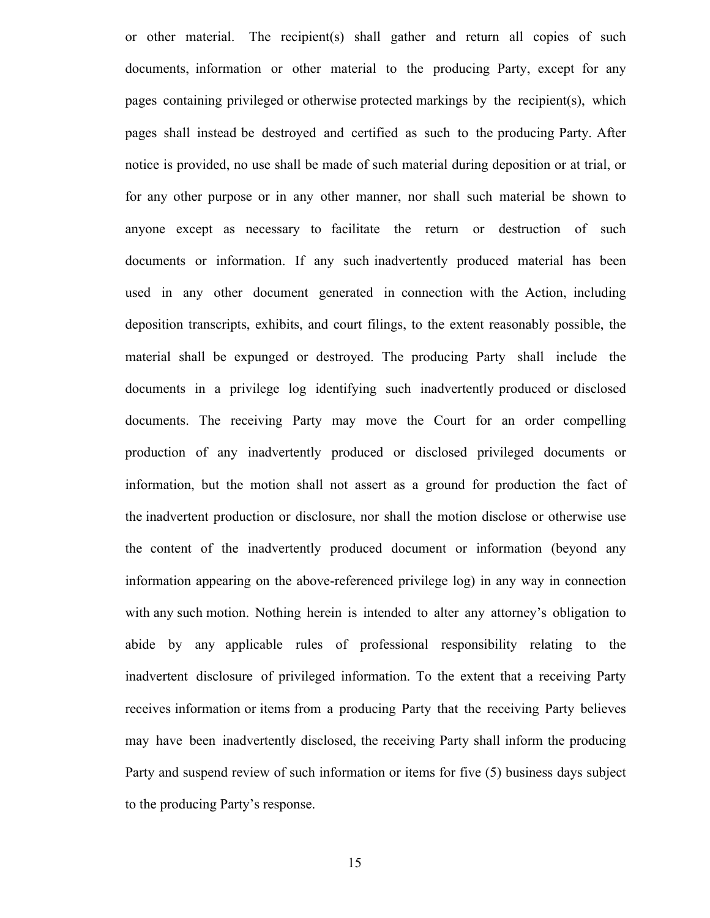or other material. The recipient(s) shall gather and return all copies of such documents, information or other material to the producing Party, except for any pages containing privileged or otherwise protected markings by the recipient(s), which pages shall instead be destroyed and certified as such to the producing Party. After notice is provided, no use shall be made of such material during deposition or at trial, or for any other purpose or in any other manner, nor shall such material be shown to anyone except as necessary to facilitate the return or destruction of such documents or information. If any such inadvertently produced material has been used in any other document generated in connection with the Action, including deposition transcripts, exhibits, and court filings, to the extent reasonably possible, the material shall be expunged or destroyed. The producing Party shall include the documents in a privilege log identifying such inadvertently produced or disclosed documents. The receiving Party may move the Court for an order compelling production of any inadvertently produced or disclosed privileged documents or information, but the motion shall not assert as a ground for production the fact of the inadvertent production or disclosure, nor shall the motion disclose or otherwise use the content of the inadvertently produced document or information (beyond any information appearing on the above-referenced privilege log) in any way in connection with any such motion. Nothing herein is intended to alter any attorney's obligation to abide by any applicable rules of professional responsibility relating to the inadvertent disclosure of privileged information. To the extent that a receiving Party receives information or items from a producing Party that the receiving Party believes may have been inadvertently disclosed, the receiving Party shall inform the producing Party and suspend review of such information or items for five (5) business days subject to the producing Party's response.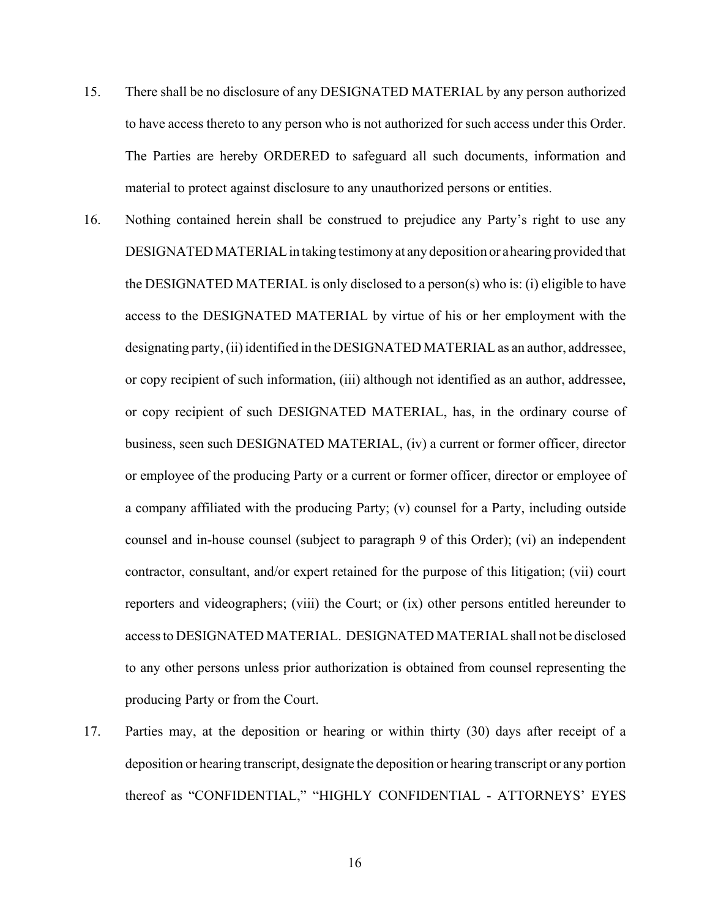- 15. There shall be no disclosure of any DESIGNATED MATERIAL by any person authorized to have access thereto to any person who is not authorized for such access under this Order. The Parties are hereby ORDERED to safeguard all such documents, information and material to protect against disclosure to any unauthorized persons or entities.
- 16. Nothing contained herein shall be construed to prejudice any Party's right to use any DESIGNATED MATERIAL in taking testimony at any deposition or a hearing provided that the DESIGNATED MATERIAL is only disclosed to a person(s) who is: (i) eligible to have access to the DESIGNATED MATERIAL by virtue of his or her employment with the designating party, (ii) identified in the DESIGNATED MATERIAL as an author, addressee, or copy recipient of such information, (iii) although not identified as an author, addressee, or copy recipient of such DESIGNATED MATERIAL, has, in the ordinary course of business, seen such DESIGNATED MATERIAL, (iv) a current or former officer, director or employee of the producing Party or a current or former officer, director or employee of a company affiliated with the producing Party; (v) counsel for a Party, including outside counsel and in-house counsel (subject to paragraph 9 of this Order); (vi) an independent contractor, consultant, and/or expert retained for the purpose of this litigation; (vii) court reporters and videographers; (viii) the Court; or (ix) other persons entitled hereunder to access to DESIGNATED MATERIAL. DESIGNATED MATERIAL shall not be disclosed to any other persons unless prior authorization is obtained from counsel representing the producing Party or from the Court.
- 17. Parties may, at the deposition or hearing or within thirty (30) days after receipt of a deposition or hearing transcript, designate the deposition or hearing transcript or any portion thereof as "CONFIDENTIAL," "HIGHLY CONFIDENTIAL - ATTORNEYS' EYES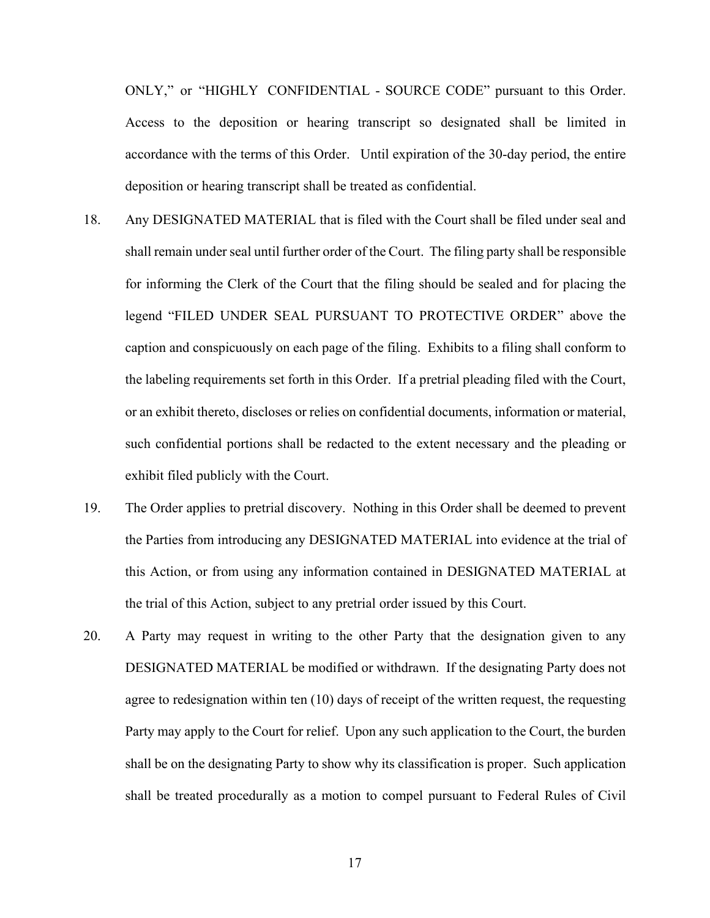ONLY," or "HIGHLY CONFIDENTIAL - SOURCE CODE" pursuant to this Order. Access to the deposition or hearing transcript so designated shall be limited in accordance with the terms of this Order. Until expiration of the 30-day period, the entire deposition or hearing transcript shall be treated as confidential.

- 18. Any DESIGNATED MATERIAL that is filed with the Court shall be filed under seal and shall remain under seal until further order of the Court. The filing party shall be responsible for informing the Clerk of the Court that the filing should be sealed and for placing the legend "FILED UNDER SEAL PURSUANT TO PROTECTIVE ORDER" above the caption and conspicuously on each page of the filing. Exhibits to a filing shall conform to the labeling requirements set forth in this Order. If a pretrial pleading filed with the Court, or an exhibit thereto, discloses or relies on confidential documents, information or material, such confidential portions shall be redacted to the extent necessary and the pleading or exhibit filed publicly with the Court.
- 19. The Order applies to pretrial discovery. Nothing in this Order shall be deemed to prevent the Parties from introducing any DESIGNATED MATERIAL into evidence at the trial of this Action, or from using any information contained in DESIGNATED MATERIAL at the trial of this Action, subject to any pretrial order issued by this Court.
- 20. A Party may request in writing to the other Party that the designation given to any DESIGNATED MATERIAL be modified or withdrawn. If the designating Party does not agree to redesignation within ten (10) days of receipt of the written request, the requesting Party may apply to the Court for relief. Upon any such application to the Court, the burden shall be on the designating Party to show why its classification is proper. Such application shall be treated procedurally as a motion to compel pursuant to Federal Rules of Civil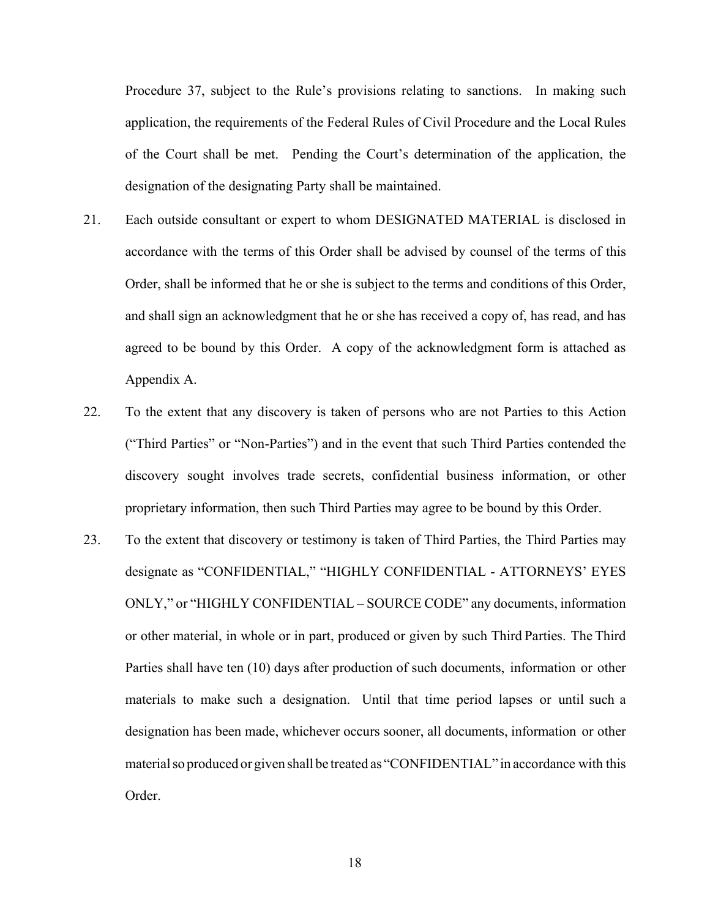Procedure 37, subject to the Rule's provisions relating to sanctions. In making such application, the requirements of the Federal Rules of Civil Procedure and the Local Rules of the Court shall be met. Pending the Court's determination of the application, the designation of the designating Party shall be maintained.

- 21. Each outside consultant or expert to whom DESIGNATED MATERIAL is disclosed in accordance with the terms of this Order shall be advised by counsel of the terms of this Order, shall be informed that he or she is subject to the terms and conditions of this Order, and shall sign an acknowledgment that he or she has received a copy of, has read, and has agreed to be bound by this Order. A copy of the acknowledgment form is attached as Appendix A.
- 22. To the extent that any discovery is taken of persons who are not Parties to this Action ("Third Parties" or "Non-Parties") and in the event that such Third Parties contended the discovery sought involves trade secrets, confidential business information, or other proprietary information, then such Third Parties may agree to be bound by this Order.
- 23. To the extent that discovery or testimony is taken of Third Parties, the Third Parties may designate as "CONFIDENTIAL," "HIGHLY CONFIDENTIAL - ATTORNEYS' EYES ONLY," or "HIGHLY CONFIDENTIAL – SOURCE CODE" any documents, information or other material, in whole or in part, produced or given by such Third Parties. The Third Parties shall have ten (10) days after production of such documents, information or other materials to make such a designation. Until that time period lapses or until such a designation has been made, whichever occurs sooner, all documents, information or other material so produced or given shall be treated as "CONFIDENTIAL" in accordance with this Order.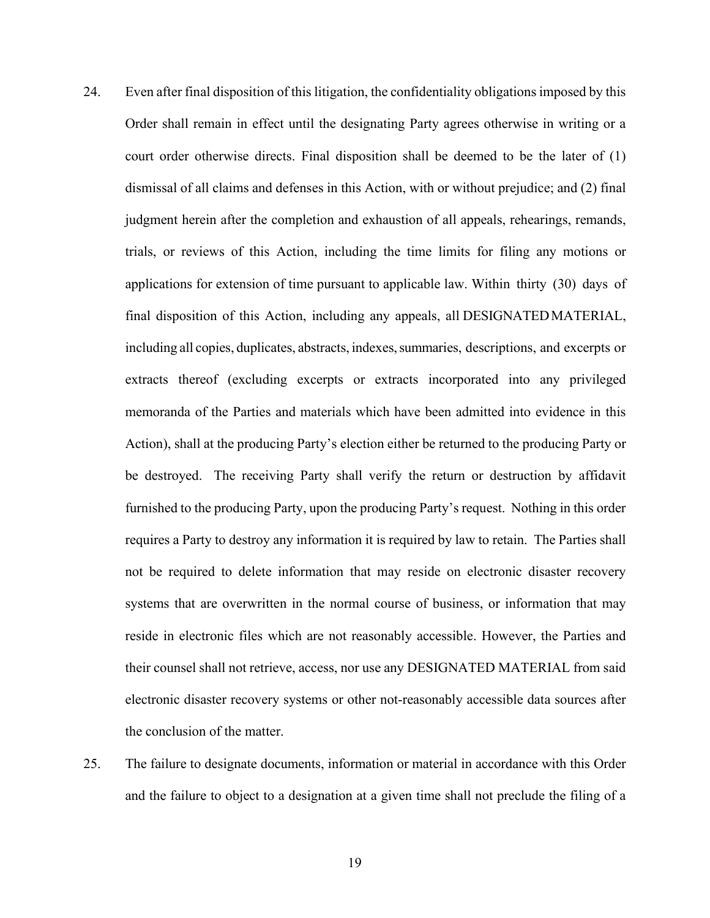- 24. Even after final disposition of this litigation, the confidentiality obligations imposed by this Order shall remain in effect until the designating Party agrees otherwise in writing or a court order otherwise directs. Final disposition shall be deemed to be the later of (1) dismissal of all claims and defenses in this Action, with or without prejudice; and (2) final judgment herein after the completion and exhaustion of all appeals, rehearings, remands, trials, or reviews of this Action, including the time limits for filing any motions or applications for extension of time pursuant to applicable law. Within thirty (30) days of final disposition of this Action, including any appeals, all DESIGNATED MATERIAL, including all copies, duplicates, abstracts, indexes, summaries, descriptions, and excerpts or extracts thereof (excluding excerpts or extracts incorporated into any privileged memoranda of the Parties and materials which have been admitted into evidence in this Action), shall at the producing Party's election either be returned to the producing Party or be destroyed. The receiving Party shall verify the return or destruction by affidavit furnished to the producing Party, upon the producing Party's request. Nothing in this order requires a Party to destroy any information it is required by law to retain. The Parties shall not be required to delete information that may reside on electronic disaster recovery systems that are overwritten in the normal course of business, or information that may reside in electronic files which are not reasonably accessible. However, the Parties and their counsel shall not retrieve, access, nor use any DESIGNATED MATERIAL from said electronic disaster recovery systems or other not-reasonably accessible data sources after the conclusion of the matter.
- 25. The failure to designate documents, information or material in accordance with this Order and the failure to object to a designation at a given time shall not preclude the filing of a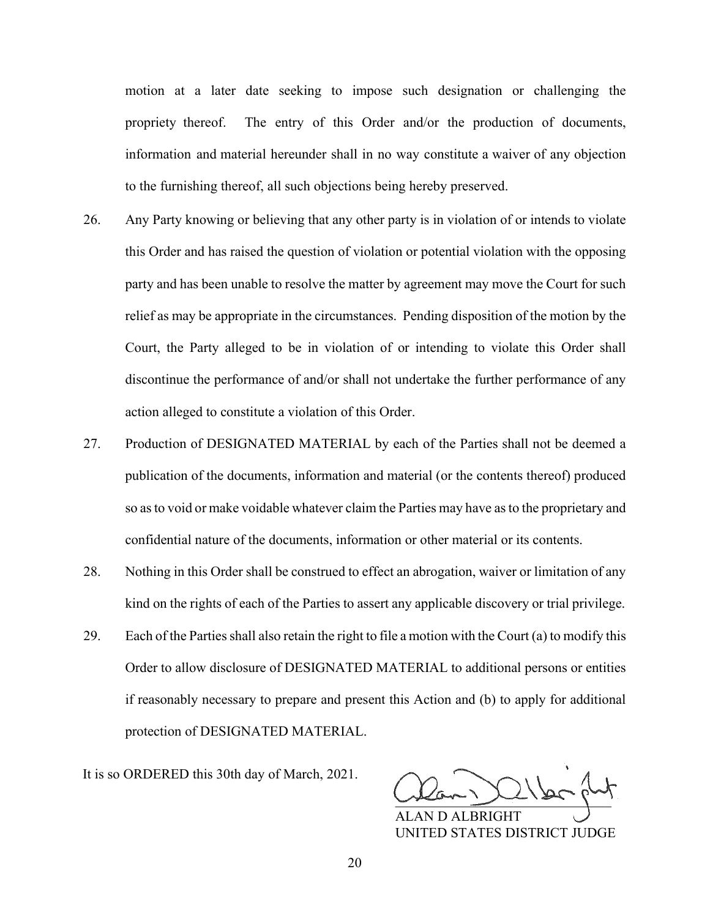motion at a later date seeking to impose such designation or challenging the propriety thereof. The entry of this Order and/or the production of documents, information and material hereunder shall in no way constitute a waiver of any objection to the furnishing thereof, all such objections being hereby preserved.

- 26. Any Party knowing or believing that any other party is in violation of or intends to violate this Order and has raised the question of violation or potential violation with the opposing party and has been unable to resolve the matter by agreement may move the Court for such relief as may be appropriate in the circumstances. Pending disposition of the motion by the Court, the Party alleged to be in violation of or intending to violate this Order shall discontinue the performance of and/or shall not undertake the further performance of any action alleged to constitute a violation of this Order.
- 27. Production of DESIGNATED MATERIAL by each of the Parties shall not be deemed a publication of the documents, information and material (or the contents thereof) produced so as to void or make voidable whatever claim the Parties may have as to the proprietary and confidential nature of the documents, information or other material or its contents.
- 28. Nothing in this Order shall be construed to effect an abrogation, waiver or limitation of any kind on the rights of each of the Parties to assert any applicable discovery or trial privilege.
- 29. Each of the Parties shall also retain the right to file a motion with the Court (a) to modify this Order to allow disclosure of DESIGNATED MATERIAL to additional persons or entities if reasonably necessary to prepare and present this Action and (b) to apply for additional protection of DESIGNATED MATERIAL.

It is so ORDERED this 30th day of March, 2021.

 $\frac{1}{2}$ 

ALAN D ALBRIGHT UNITED STATES DISTRICT JUDGE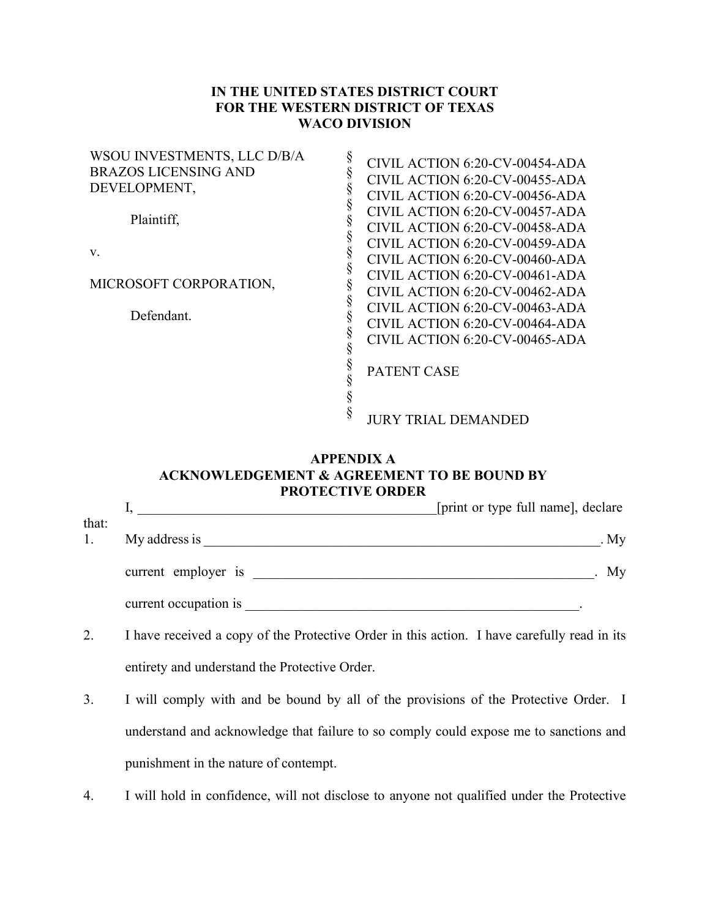## **IN THE UNITED STATES DISTRICT COURT FOR THE WESTERN DISTRICT OF TEXAS WACO DIVISION**

| WSOU INVESTMENTS, LLC D/B/A<br><b>BRAZOS LICENSING AND</b><br>DEVELOPMENT, | CIVIL ACTION 6:20-CV-00454-ADA<br>CIVIL ACTION 6:20-CV-00455-ADA<br>CIVIL ACTION 6:20-CV-00456-ADA |
|----------------------------------------------------------------------------|----------------------------------------------------------------------------------------------------|
| Plaintiff,                                                                 | CIVIL ACTION 6:20-CV-00457-ADA<br>CIVIL ACTION 6:20-CV-00458-ADA                                   |
| V.                                                                         | CIVIL ACTION 6:20-CV-00459-ADA<br>CIVIL ACTION 6:20-CV-00460-ADA                                   |
| MICROSOFT CORPORATION,                                                     | CIVIL ACTION 6:20-CV-00461-ADA<br>CIVIL ACTION 6:20-CV-00462-ADA                                   |
| Defendant.                                                                 | CIVIL ACTION 6:20-CV-00463-ADA<br>CIVIL ACTION 6:20-CV-00464-ADA<br>CIVIL ACTION 6:20-CV-00465-ADA |
|                                                                            | <b>PATENT CASE</b>                                                                                 |
|                                                                            | <b>JURY TRIAL DEMANDED</b>                                                                         |

## **APPENDIX A ACKNOWLEDGEMENT & AGREEMENT TO BE BOUND BY PROTECTIVE ORDER**

|             |                       | [print or type full name], declare |
|-------------|-----------------------|------------------------------------|
| that:<br>1. | My address is         | .My                                |
|             | current employer is   | My                                 |
|             | current occupation is |                                    |

- 2. I have received a copy of the Protective Order in this action. I have carefully read in its entirety and understand the Protective Order.
- 3. I will comply with and be bound by all of the provisions of the Protective Order. I understand and acknowledge that failure to so comply could expose me to sanctions and punishment in the nature of contempt.
- 4. I will hold in confidence, will not disclose to anyone not qualified under the Protective